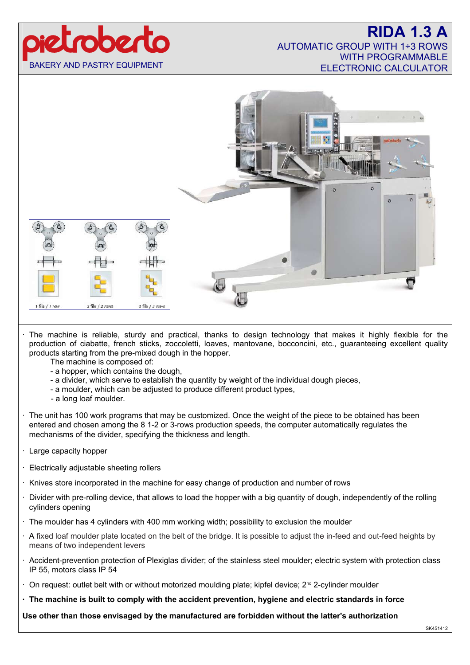# 100210 BAKERY AND PASTRY EQUIPMENT

### **RIDA 1.3** AUTOMATIC GROUP WITH 1÷3 ROWS WITH PROGRAMMABLE ELECTRONIC CALCULATOR



- The machine is reliable, sturdy and practical, thanks to design technology that makes it highly flexible for the production of ciabatte, french sticks, zoccoletti, loaves, mantovane, bocconcini, etc., guaranteeing excellent quality products starting from the pre-mixed dough in the hopper.
	- The machine is composed of:
	- a hopper, which contains the dough,
	- a divider, which serve to establish the quantity by weight of the individual dough pieces,
	- a moulder, which can be adjusted to produce different product types,
	- a long loaf moulder.
- The unit has 100 work programs that may be customized. Once the weight of the piece to be obtained has been entered and chosen among the 8 1-2 or 3-rows production speeds, the computer automatically regulates the mechanisms of the divider, specifying the thickness and length.
- · Large capacity hopper
- · Electrically adjustable sheeting rollers
- · Knives store incorporated in the machine for easy change of production and number of rows
- · Divider with pre-rolling device, that allows to load the hopper with a big quantity of dough, independently of the rolling cylinders opening
- · The moulder has 4 cylinders with 400 mm working width; possibility to exclusion the moulder
- · A fixed loaf moulder plate located on the belt of the bridge. It is possible to adjust the in-feed and out-feed heights by means of two independent levers
- · Accident-prevention protection of Plexiglas divider; of the stainless steel moulder; electric system with protection class IP 55, motors class IP 54
- On request: outlet belt with or without motorized moulding plate; kipfel device; 2<sup>nd</sup> 2-cylinder moulder
- **· The machine is built to comply with the accident prevention, hygiene and electric standards in force**

**Use other than those envisaged by the manufactured are forbidden without the latter's authorization**